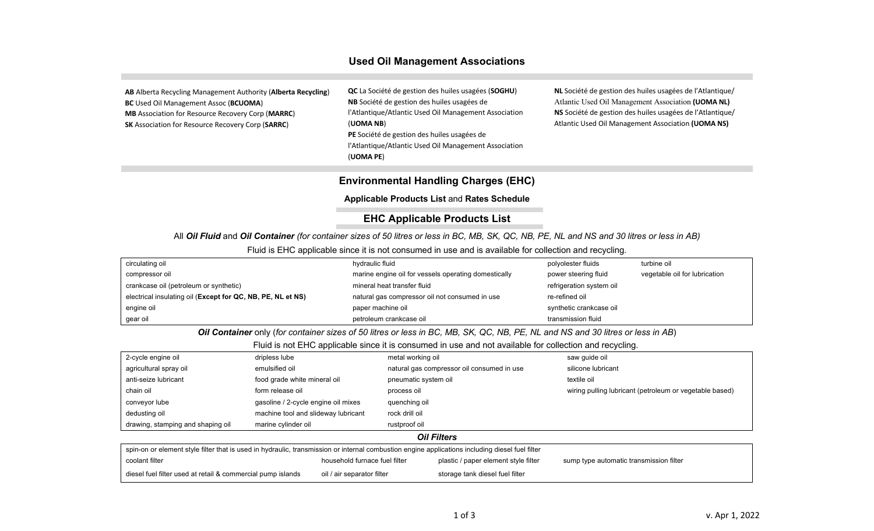## **Used Oil Management Associations**

**AB** Alberta Recycling Management Authority (**Alberta Recycling**) **BC** Used Oil Management Assoc (**BCUOMA**) **MB** Association for Resource Recovery Corp (**MARRC**) **SK** Association for Resource Recovery Corp (**SARRC**)

**QC** La Société de gestion des huiles usagées (**SOGHU**) **NB** Société de gestion des huiles usagées de l'Atlantique/Atlantic Used Oil Management Association (**UOMA NB**) **PE** Société de gestion des huiles usagées de l'Atlantique/Atlantic Used Oil Management Association (**UOMA PE**)

**NL** Société de gestion des huiles usagées de l'Atlantique/ Atlantic Used Oil Management Association **(UOMA NL) NS** Société de gestion des huiles usagées de l'Atlantique/ Atlantic Used Oil Management Association **(UOMA NS)**

## **Environmental Handling Charges (EHC)**

**Applicable Products List** and **Rates Schedule**

## **EHC Applicable Products List**

All *Oil Fluid* and *Oil Container (for container sizes of 50 litres or less in BC, MB, SK, QC, NB, PE, NL and NS and 30 litres or less in AB)*

Fluid is EHC applicable since it is not consumed in use and is available for collection and recycling.

| circulating oil                                             | hydraulic fluid                                      | polyolester fluids       | turbine oil                   |
|-------------------------------------------------------------|------------------------------------------------------|--------------------------|-------------------------------|
| compressor oil                                              | marine engine oil for vessels operating domestically | power steering fluid     | vegetable oil for lubrication |
| crankcase oil (petroleum or synthetic)                      | mineral heat transfer fluid                          | refrigeration system oil |                               |
| electrical insulating oil (Except for QC, NB, PE, NL et NS) | natural gas compressor oil not consumed in use       | re-refined oil           |                               |
| engine oil                                                  | paper machine oil                                    | synthetic crankcase oil  |                               |
| gear oil                                                    | petroleum crankcase oil                              | transmission fluid       |                               |

*Oil Container* only (*for container sizes of 50 litres or less in BC, MB, SK, QC, NB, PE, NL and NS and 30 litres or less in AB*)

Fluid is not EHC applicable since it is consumed in use and not available for collection and recycling.

| 2-cycle engine oil                | dripless lube                       | metal working oil                          | saw quide oil                                           |  |
|-----------------------------------|-------------------------------------|--------------------------------------------|---------------------------------------------------------|--|
| agricultural spray oil            | emulsified oil                      | natural gas compressor oil consumed in use | silicone lubricant                                      |  |
| anti-seize lubricant              | food grade white mineral oil        | pneumatic system oil                       | textile oil                                             |  |
| chain oil                         | form release oil                    | process oil                                | wiring pulling lubricant (petroleum or vegetable based) |  |
| conveyor lube                     | gasoline / 2-cycle engine oil mixes | quenching oil                              |                                                         |  |
| dedusting oil                     | machine tool and slideway lubricant | rock drill oil                             |                                                         |  |
| drawing, stamping and shaping oil | marine cylinder oil                 | rustproof oil                              |                                                         |  |
| <b>Oil Filters</b>                |                                     |                                            |                                                         |  |

| spin-on or element style filter that is used in hydraulic, transmission or internal combustion engine applications including diesel fuel filter |                               |                                      |                                         |  |  |  |  |
|-------------------------------------------------------------------------------------------------------------------------------------------------|-------------------------------|--------------------------------------|-----------------------------------------|--|--|--|--|
| coolant filter                                                                                                                                  | household furnace fuel filter | plastic / paper element style filter | sump type automatic transmission filter |  |  |  |  |
| diesel fuel filter used at retail & commercial pump islands                                                                                     | oil / air separator filter    | storage tank diesel fuel filter      |                                         |  |  |  |  |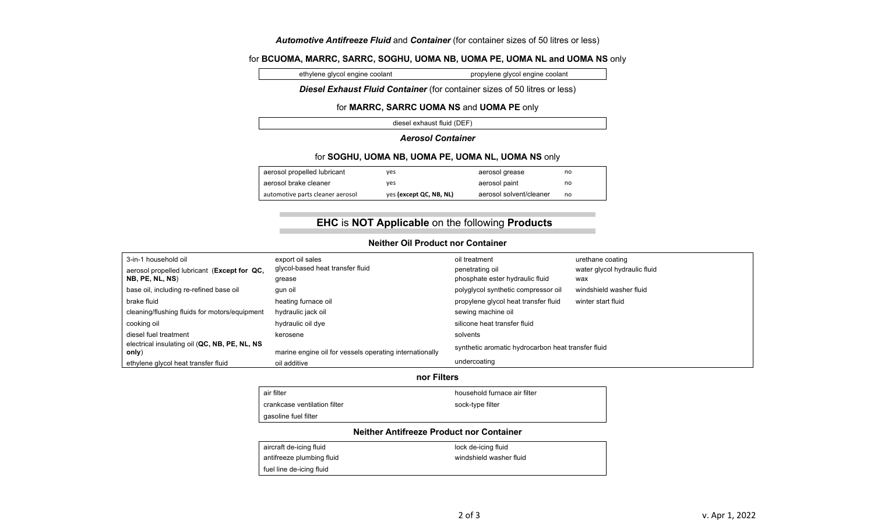## *Automotive Antifreeze Fluid* and *Container* (for container sizes of 50 litres or less)

## for **BCUOMA, MARRC, SARRC, SOGHU, UOMA NB, UOMA PE, UOMA NL and UOMA NS** only

ethylene glycol engine coolant propylene glycol engine coolant

#### *Diesel Exhaust Fluid Container* (for container sizes of 50 litres or less)

#### for **MARRC, SARRC UOMA NS** and **UOMA PE** only

diesel exhaust fluid (DEF)

## *Aerosol Container*

#### for **SOGHU, UOMA NB, UOMA PE, UOMA NL, UOMA NS** only

| aerosol propelled lubricant      | ves                     | aerosol grease          | no |
|----------------------------------|-------------------------|-------------------------|----|
| aerosol brake cleaner            | ves                     | aerosol paint           | no |
| automotive parts cleaner aerosol | yes (except QC, NB, NL) | aerosol solvent/cleaner | no |

# **EHC** is **NOT Applicable** on the following **Products**

## **Neither Oil Product nor Container**

| 3-in-1 household oil                                   | export oil sales                                        | oil treatment                                      | urethane coating             |
|--------------------------------------------------------|---------------------------------------------------------|----------------------------------------------------|------------------------------|
| aerosol propelled lubricant (Except for QC,            | glycol-based heat transfer fluid                        | penetrating oil                                    | water glycol hydraulic fluid |
| NB, PE, NL, NS)                                        | grease                                                  | phosphate ester hydraulic fluid                    | wax                          |
| base oil, including re-refined base oil                | qun oil                                                 | polyglycol synthetic compressor oil                | windshield washer fluid      |
| brake fluid                                            | heating furnace oil                                     | propylene glycol heat transfer fluid               | winter start fluid           |
| cleaning/flushing fluids for motors/equipment          | hydraulic jack oil                                      | sewing machine oil                                 |                              |
| cooking oil                                            | hydraulic oil dye                                       | silicone heat transfer fluid                       |                              |
| diesel fuel treatment                                  | kerosene                                                | solvents                                           |                              |
| electrical insulating oil (QC, NB, PE, NL, NS<br>only) | marine engine oil for vessels operating internationally | synthetic aromatic hydrocarbon heat transfer fluid |                              |
| ethylene glycol heat transfer fluid                    | oil additive                                            | undercoating                                       |                              |

#### **nor Filters**

| qasoline fuel filter         |                              |
|------------------------------|------------------------------|
| crankcase ventilation filter | sock-type filter             |
| air filter                   | household furnace air filter |
|                              |                              |

#### **Neither Antifreeze Product nor Container**

| aircraft de-icing fluid   | lock de-icing fluid     |
|---------------------------|-------------------------|
| antifreeze plumbing fluid | windshield washer fluid |
| fuel line de-icing fluid  |                         |
|                           |                         |